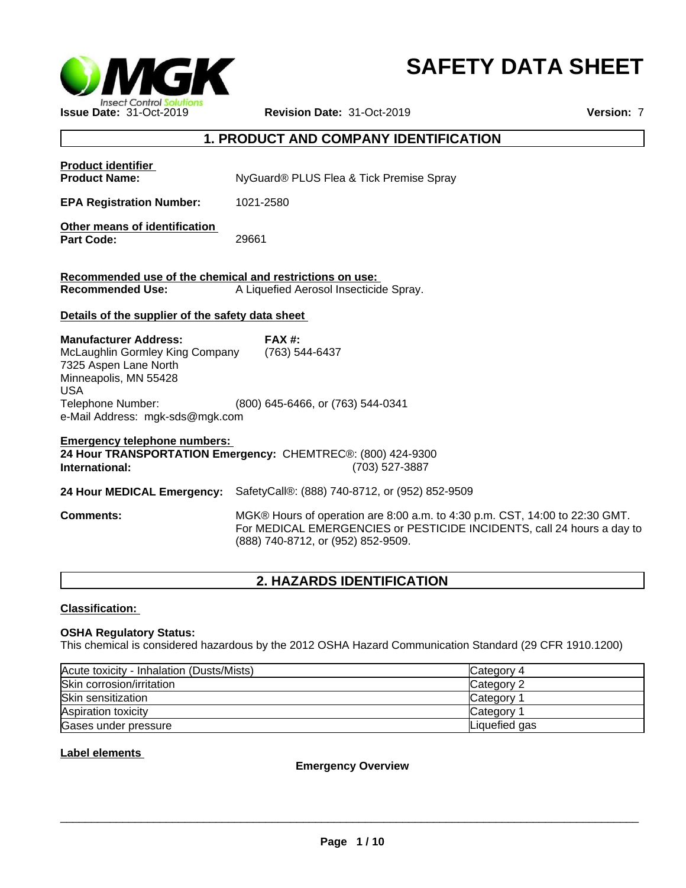

# **SAFETY DATA SHEET**

# **1. PRODUCT AND COMPANY IDENTIFICATION**

| <b>Product identifier</b><br><b>Product Name:</b>                                                                                                                                       | NyGuard® PLUS Flea & Tick Premise Spray                                                                                                                                                     |
|-----------------------------------------------------------------------------------------------------------------------------------------------------------------------------------------|---------------------------------------------------------------------------------------------------------------------------------------------------------------------------------------------|
| <b>EPA Registration Number:</b>                                                                                                                                                         | 1021-2580                                                                                                                                                                                   |
| Other means of identification<br><b>Part Code:</b>                                                                                                                                      | 29661                                                                                                                                                                                       |
| Recommended use of the chemical and restrictions on use:<br><b>Recommended Use:</b>                                                                                                     | A Liquefied Aerosol Insecticide Spray.                                                                                                                                                      |
| Details of the supplier of the safety data sheet                                                                                                                                        |                                                                                                                                                                                             |
| <b>Manufacturer Address:</b><br>McLaughlin Gormley King Company<br>7325 Aspen Lane North<br>Minneapolis, MN 55428<br><b>USA</b><br>Telephone Number:<br>e-Mail Address: mgk-sds@mgk.com | $FAX#$ :<br>(763) 544-6437<br>(800) 645-6466, or (763) 544-0341                                                                                                                             |
| <b>Emergency telephone numbers:</b><br>International:                                                                                                                                   | 24 Hour TRANSPORTATION Emergency: CHEMTREC®: (800) 424-9300<br>(703) 527-3887                                                                                                               |
| 24 Hour MEDICAL Emergency:                                                                                                                                                              | SafetyCall®: (888) 740-8712, or (952) 852-9509                                                                                                                                              |
| <b>Comments:</b>                                                                                                                                                                        | MGK® Hours of operation are 8:00 a.m. to 4:30 p.m. CST, 14:00 to 22:30 GMT.<br>For MEDICAL EMERGENCIES or PESTICIDE INCIDENTS, call 24 hours a day to<br>(888) 740-8712, or (952) 852-9509. |
|                                                                                                                                                                                         |                                                                                                                                                                                             |

# **2. HAZARDS IDENTIFICATION**

# **Classification:**

## **OSHA Regulatory Status:**

This chemical is considered hazardous by the 2012 OSHA Hazard Communication Standard (29 CFR 1910.1200)

| Acute toxicity - Inhalation (Dusts/Mists) | Category 4    |
|-------------------------------------------|---------------|
| Skin corrosion/irritation                 | Category 2    |
| Skin sensitization                        | Category      |
| Aspiration toxicity                       | Category      |
| Gases under pressure                      | Liquefied gas |

### **Label elements**

**Emergency Overview**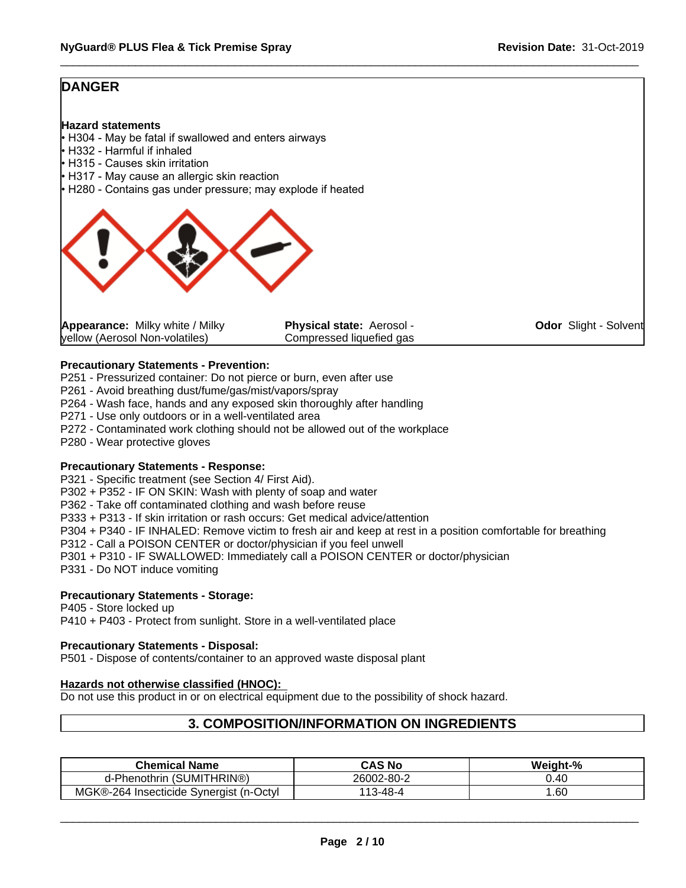# **DANGER**

#### **Hazard statements**

- $\cdot$  H304 May be fatal if swallowed and enters airways
- H332 Harmful if inhaled
- H315 Causes skin irritation
- H317 May cause an allergic skin reaction
- H280 Contains gas under pressure; may explode if heated



| <b>Appearance:</b> Milky white / Milky | <b>Physical state: Aerosol -</b> | <b>Odor</b> Slight - Solvent |
|----------------------------------------|----------------------------------|------------------------------|
| yellow (Aerosol Non-volatiles)         | Compressed liquefied gas         |                              |

### **Precautionary Statements - Prevention:**

P251 - Pressurized container: Do not pierce or burn, even after use

- P261 Avoid breathing dust/fume/gas/mist/vapors/spray
- P264 Wash face, hands and any exposed skin thoroughly after handling
- P271 Use only outdoors or in a well-ventilated area
- P272 Contaminated work clothing should not be allowed out of the workplace
- P280 Wear protective gloves

#### **Precautionary Statements - Response:**

P321 - Specific treatment (see Section 4/ First Aid).

P302 + P352 - IF ON SKIN: Wash with plenty of soap and water

P362 - Take off contaminated clothing and wash before reuse

P333 + P313 - If skin irritation or rash occurs: Get medical advice/attention

- P304 + P340 IF INHALED: Remove victim to fresh air and keep at rest in a position comfortable for breathing
- P312 Call a POISON CENTER or doctor/physician if you feel unwell
- P301 + P310 IF SWALLOWED: Immediately call a POISON CENTER or doctor/physician
- P331 Do NOT induce vomiting

# **Precautionary Statements - Storage:**

P405 - Store locked up P410 + P403 - Protect from sunlight. Store in a well-ventilated place

#### **Precautionary Statements - Disposal:**

P501 - Dispose of contents/container to an approved waste disposal plant

#### **Hazards not otherwise classified (HNOC):**

Do not use this product in or on electrical equipment due to the possibility of shock hazard.

# **3. COMPOSITION/INFORMATION ON INGREDIENTS**

| <b>Chemical Name</b>                                             | CAS No           | Weight-% |
|------------------------------------------------------------------|------------------|----------|
| UMITHRIN®)<br>$\epsilon$<br><b>Phenothrin</b><br>ວເ              | 26002-80-2       | 0.40     |
| <b>MGK®-264</b><br>⊡Oct∨l<br>: Svneraist (n-l<br>l Insecticide - | 3-48-4<br>$\sim$ | .60      |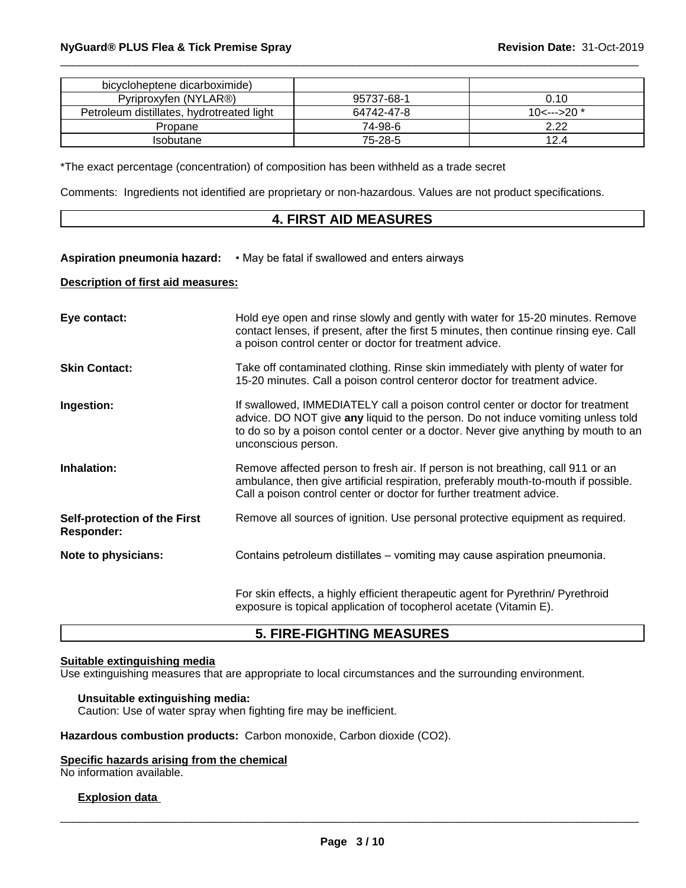| bicycloheptene dicarboximide)             |            |                            |
|-------------------------------------------|------------|----------------------------|
| Pyriproxyfen (NYLAR®)                     | 95737-68-1 | 0.10                       |
| Petroleum distillates, hydrotreated light | 64742-47-8 | 10 $\leftarrow$ --->20 $*$ |
| Propane                                   | 74-98-6    | 2.22                       |
| Isobutane                                 | 75-28-5    | 124                        |

\*The exact percentage (concentration) of composition has been withheld as a trade secret

Comments: Ingredients not identified are proprietary or non-hazardous. Values are not product specifications.

# **4. FIRST AID MEASURES**

#### Aspiration pneumonia hazard: • May be fatal if swallowed and enters airways

#### **Description of first aid measures:**

| Eye contact:                                      | Hold eye open and rinse slowly and gently with water for 15-20 minutes. Remove<br>contact lenses, if present, after the first 5 minutes, then continue rinsing eye. Call<br>a poison control center or doctor for treatment advice.                                             |
|---------------------------------------------------|---------------------------------------------------------------------------------------------------------------------------------------------------------------------------------------------------------------------------------------------------------------------------------|
| <b>Skin Contact:</b>                              | Take off contaminated clothing. Rinse skin immediately with plenty of water for<br>15-20 minutes. Call a poison control centeror doctor for treatment advice.                                                                                                                   |
| Ingestion:                                        | If swallowed, IMMEDIATELY call a poison control center or doctor for treatment<br>advice. DO NOT give any liquid to the person. Do not induce vomiting unless told<br>to do so by a poison contol center or a doctor. Never give anything by mouth to an<br>unconscious person. |
| Inhalation:                                       | Remove affected person to fresh air. If person is not breathing, call 911 or an<br>ambulance, then give artificial respiration, preferably mouth-to-mouth if possible.<br>Call a poison control center or doctor for further treatment advice.                                  |
| Self-protection of the First<br><b>Responder:</b> | Remove all sources of ignition. Use personal protective equipment as required.                                                                                                                                                                                                  |
| Note to physicians:                               | Contains petroleum distillates – vomiting may cause aspiration pneumonia.                                                                                                                                                                                                       |
|                                                   | For skin effects, a highly efficient therapeutic agent for Pyrethrin/ Pyrethroid<br>exposure is topical application of tocopherol acetate (Vitamin E).                                                                                                                          |

# **5. FIRE-FIGHTING MEASURES**

### **Suitable extinguishing media**

Use extinguishing measures that are appropriate to local circumstances and the surrounding environment.

#### **Unsuitable extinguishing media:**

Caution: Use of water spray when fighting fire may be inefficient.

**Hazardous combustion products:** Carbon monoxide, Carbon dioxide (CO2).

#### **Specific hazards arising from the chemical**

No information available.

#### **Explosion data**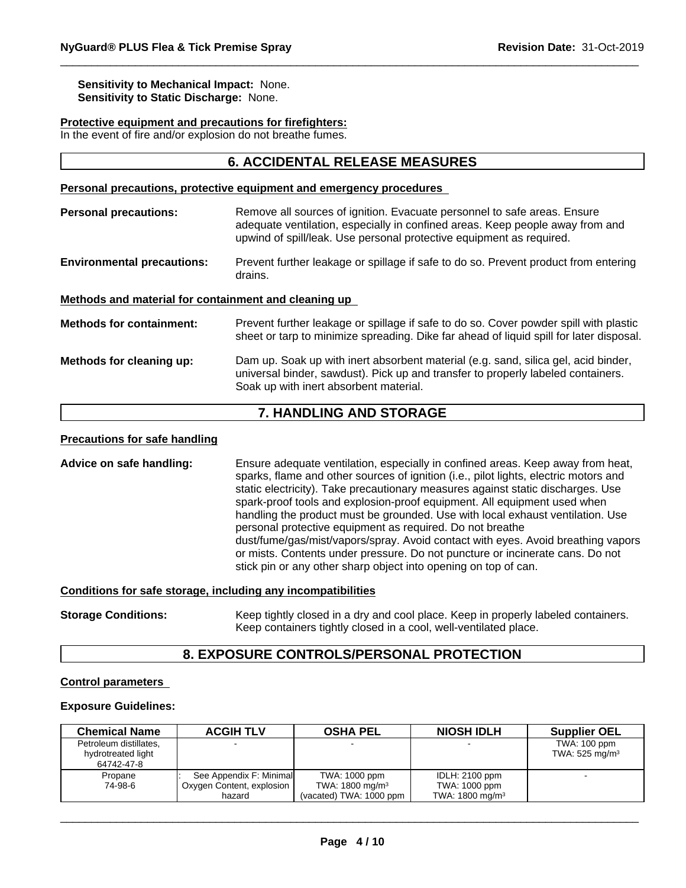**Sensitivity to Mechanical Impact:** None. **Sensitivity to Static Discharge:** None.

#### **Protective equipment and precautions for firefighters:**

In the event of fire and/or explosion do not breathe fumes.

# **6. ACCIDENTAL RELEASE MEASURES**

#### **Personal precautions, protective equipment and emergency procedures**

**Personal precautions:** Remove all sources of ignition. Evacuate personnel to safe areas. Ensure adequate ventilation, especially in confined areas. Keep people away from and upwind of spill/leak. Use personal protective equipment as required.

**Environmental precautions:** Prevent further leakage or spillage if safe to do so. Prevent product from entering drains.

#### **Methods and material for containment and cleaning up**

**Methods for containment:** Prevent further leakage or spillage if safe to do so. Cover powder spill with plastic sheet or tarp to minimize spreading. Dike far ahead of liquid spill for later disposal.

#### **Methods for cleaning up:** Dam up. Soak up with inert absorbent material (e.g. sand, silica gel, acid binder, universal binder, sawdust). Pick up and transfer to properly labeled containers. Soak up with inert absorbent material.

# **7. HANDLING AND STORAGE**

#### **Precautions for safe handling**

**Advice on safe handling:** Ensure adequate ventilation, especially in confined areas. Keep away from heat, sparks, flame and other sources of ignition (i.e., pilot lights, electric motors and static electricity). Take precautionary measures against static discharges. Use spark-proof tools and explosion-proof equipment. All equipment used when handling the product must be grounded. Use with local exhaust ventilation. Use personal protective equipment as required. Do not breathe dust/fume/gas/mist/vapors/spray. Avoid contact with eyes. Avoid breathing vapors or mists. Contents under pressure. Do not puncture or incinerate cans. Do not stick pin or any other sharp object into opening on top of can.

#### **Conditions for safe storage, including any incompatibilities**

**Storage Conditions:** Keep tightly closed in a dry and cool place. Keep in properly labeled containers. Keep containers tightly closed in a cool, well-ventilated place.

### **8. EXPOSURE CONTROLS/PERSONAL PROTECTION**

#### **Control parameters**

#### **Exposure Guidelines:**

| <b>Chemical Name</b>                                       | <b>ACGIH TLV</b>                                               | <b>OSHA PEL</b>                                                         | <b>NIOSH IDLH</b>                                                    | <b>Supplier OEL</b>                          |
|------------------------------------------------------------|----------------------------------------------------------------|-------------------------------------------------------------------------|----------------------------------------------------------------------|----------------------------------------------|
| Petroleum distillates,<br>hydrotreated light<br>64742-47-8 |                                                                |                                                                         |                                                                      | TWA: 100 ppm<br>TWA: $525$ mg/m <sup>3</sup> |
| Propane<br>74-98-6                                         | See Appendix F: Minimal<br>Oxygen Content, explosion<br>hazard | TWA: 1000 ppm<br>TWA: 1800 mg/m <sup>3</sup><br>(vacated) TWA: 1000 ppm | <b>IDLH: 2100 ppm</b><br>TWA: 1000 ppm<br>TWA: $1800 \text{ mg/m}^3$ | $\overline{\phantom{a}}$                     |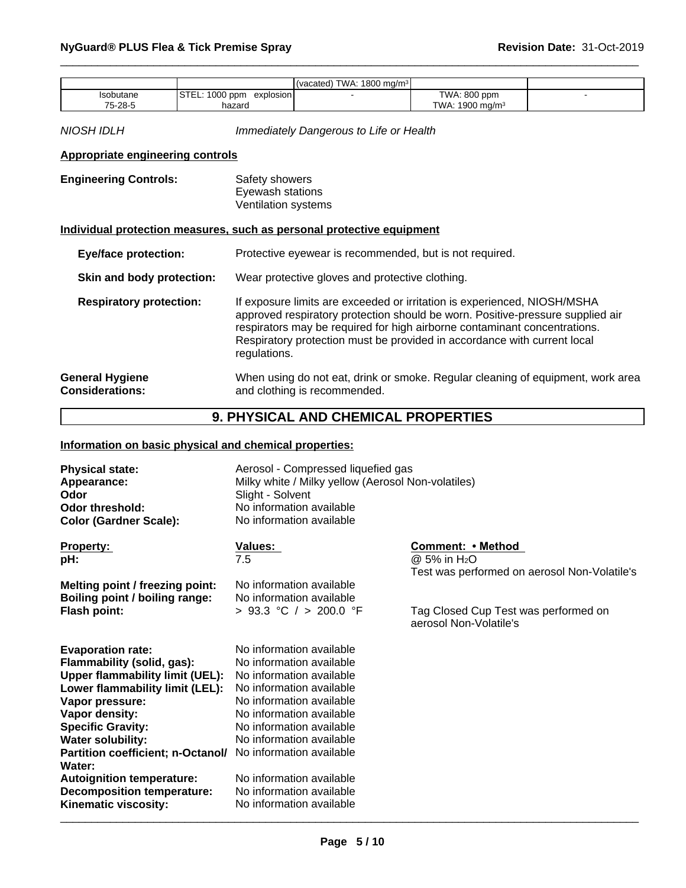|           |                               | (vacated) TWA: 1800 mg/m <sup>3</sup> |                             |  |
|-----------|-------------------------------|---------------------------------------|-----------------------------|--|
| Isobutane | STEL: 1000 ppm<br>explosion l |                                       | TWA: 800 ppm                |  |
| 75-28-5   | hazard                        |                                       | TWA: 1900 mg/m <sup>3</sup> |  |

*NIOSH IDLH Immediately Dangerous to Life or Health*

### **Appropriate engineering controls**

| <b>Engineering Controls:</b> | Safety showers      |  |
|------------------------------|---------------------|--|
|                              | Eyewash stations    |  |
|                              | Ventilation systems |  |

# **Individual protection measures, such as personal protective equipment**

| <b>Eye/face protection:</b>                      | Protective eyewear is recommended, but is not required.                                                                                                                                                                                                                                                                             |
|--------------------------------------------------|-------------------------------------------------------------------------------------------------------------------------------------------------------------------------------------------------------------------------------------------------------------------------------------------------------------------------------------|
| Skin and body protection:                        | Wear protective gloves and protective clothing.                                                                                                                                                                                                                                                                                     |
| <b>Respiratory protection:</b>                   | If exposure limits are exceeded or irritation is experienced, NIOSH/MSHA<br>approved respiratory protection should be worn. Positive-pressure supplied air<br>respirators may be required for high airborne contaminant concentrations.<br>Respiratory protection must be provided in accordance with current local<br>regulations. |
| <b>General Hygiene</b><br><b>Considerations:</b> | When using do not eat, drink or smoke. Regular cleaning of equipment, work area<br>and clothing is recommended.                                                                                                                                                                                                                     |

# **9. PHYSICAL AND CHEMICAL PROPERTIES**

# **Information on basic physical and chemical properties:**

| Property:<br>Values:                                               | Comment: • Method                                              |
|--------------------------------------------------------------------|----------------------------------------------------------------|
| 7.5<br>pH:                                                         | $@.5\%$ in H <sub>2</sub> O                                    |
|                                                                    | Test was performed on aerosol Non-Volatile's                   |
| No information available<br>Melting point / freezing point:        |                                                                |
| No information available<br>Boiling point / boiling range:         |                                                                |
| > 93.3 °C / > 200.0 °F<br><b>Flash point:</b>                      | Tag Closed Cup Test was performed on<br>aerosol Non-Volatile's |
| No information available<br><b>Evaporation rate:</b>               |                                                                |
| No information available<br>Flammability (solid, gas):             |                                                                |
| No information available<br><b>Upper flammability limit (UEL):</b> |                                                                |
| Lower flammability limit (LEL):<br>No information available        |                                                                |
| No information available<br>Vapor pressure:                        |                                                                |
| No information available<br>Vapor density:                         |                                                                |
| <b>Specific Gravity:</b><br>No information available               |                                                                |
| No information available<br><b>Water solubility:</b>               |                                                                |
| No information available<br>Partition coefficient; n-Octanol/      |                                                                |
| Water:                                                             |                                                                |
| No information available<br><b>Autoignition temperature:</b>       |                                                                |
| No information available<br><b>Decomposition temperature:</b>      |                                                                |
| Kinematic viscosity:<br>No information available                   |                                                                |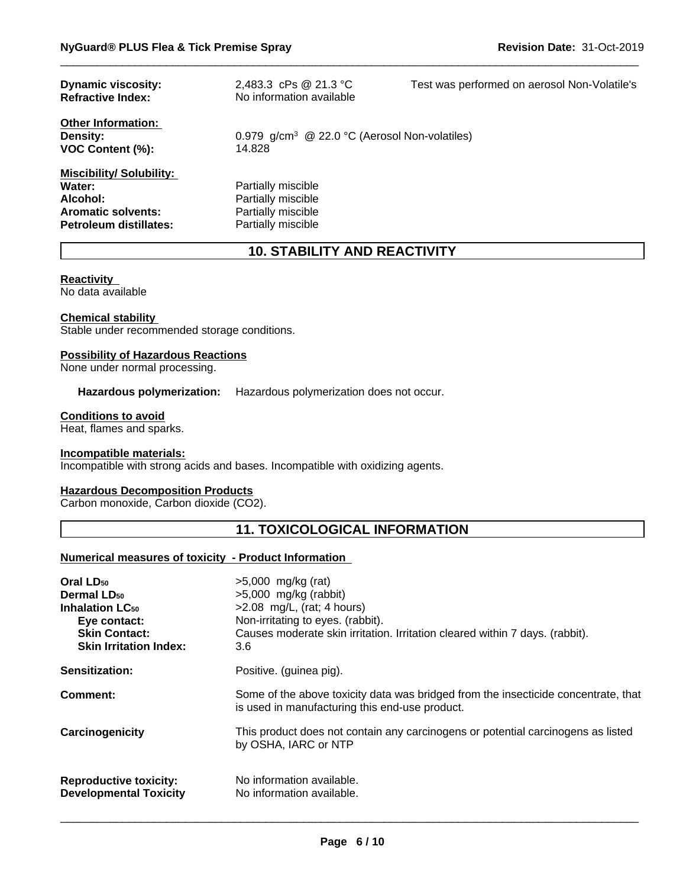| <b>Dynamic viscosity:</b><br><b>Refractive Index:</b>                                                              | 2,483.3 cPs @ 21.3 °C<br>No information available                                    | Test was performed on aerosol Non-Volatile's |
|--------------------------------------------------------------------------------------------------------------------|--------------------------------------------------------------------------------------|----------------------------------------------|
| <b>Other Information:</b><br><b>Density:</b><br>VOC Content (%):                                                   | 0.979 g/cm <sup>3</sup> @ 22.0 °C (Aerosol Non-volatiles)<br>14.828                  |                                              |
| <b>Miscibility/Solubility:</b><br>Water:<br>Alcohol:<br><b>Aromatic solvents:</b><br><b>Petroleum distillates:</b> | Partially miscible<br>Partially miscible<br>Partially miscible<br>Partially miscible |                                              |

# **10. STABILITY AND REACTIVITY**

#### **Reactivity**

No data available

#### **Chemical stability**

Stable under recommended storage conditions.

#### **Possibility of Hazardous Reactions**

None under normal processing.

**Hazardous polymerization:** Hazardous polymerization does not occur.

#### **Conditions to avoid**

Heat, flames and sparks.

#### **Incompatible materials:**

Incompatible with strong acids and bases. Incompatible with oxidizing agents.

### **Hazardous Decomposition Products**

Carbon monoxide, Carbon dioxide (CO2).

# **11. TOXICOLOGICAL INFORMATION**

### **Numerical measures of toxicity - Product Information**

| Oral LD <sub>50</sub><br>Dermal LD <sub>50</sub><br><b>Inhalation LC<sub>50</sub></b><br>Eye contact:<br><b>Skin Contact:</b><br><b>Skin Irritation Index:</b> | $>5,000$ mg/kg (rat)<br>$>5,000$ mg/kg (rabbit)<br>$>2.08$ mg/L, (rat; 4 hours)<br>Non-irritating to eyes. (rabbit).<br>Causes moderate skin irritation. Irritation cleared within 7 days. (rabbit).<br>3.6 |
|----------------------------------------------------------------------------------------------------------------------------------------------------------------|-------------------------------------------------------------------------------------------------------------------------------------------------------------------------------------------------------------|
| Sensitization:                                                                                                                                                 | Positive. (guinea pig).                                                                                                                                                                                     |
| Comment:                                                                                                                                                       | Some of the above toxicity data was bridged from the insecticide concentrate, that<br>is used in manufacturing this end-use product.                                                                        |
| Carcinogenicity                                                                                                                                                | This product does not contain any carcinogens or potential carcinogens as listed<br>by OSHA, IARC or NTP                                                                                                    |
| <b>Reproductive toxicity:</b><br><b>Developmental Toxicity</b>                                                                                                 | No information available.<br>No information available.                                                                                                                                                      |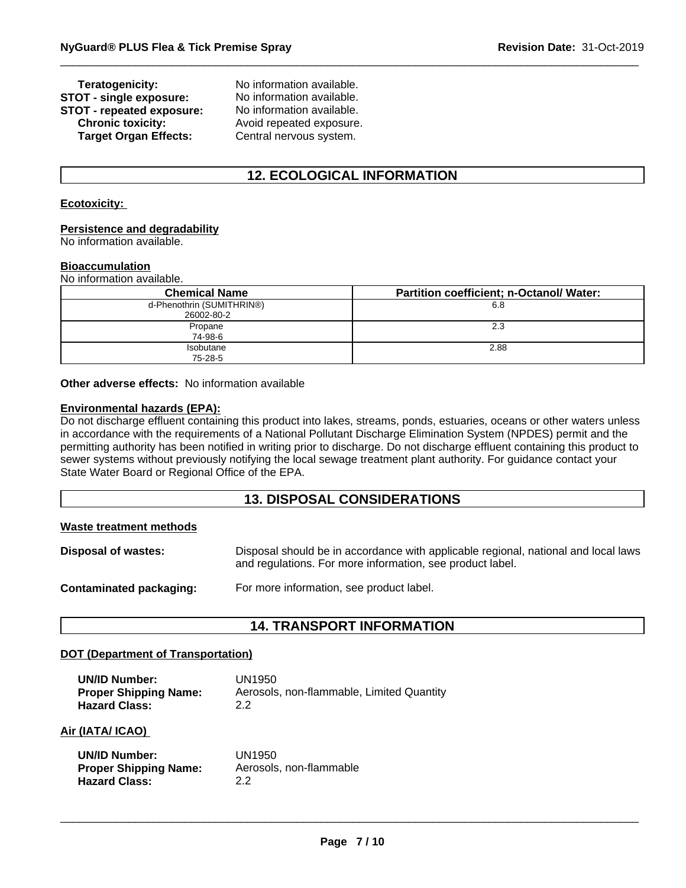# **STOT - single exposure:** No information available.<br>**STOT - repeated exposure:** No information available. **STOT** - repeated exposure:<br>Chronic toxicity: **Target Organ Effects:** Central nervous system.

**Teratogenicity:** No information available. **Chronic toxicity:** Avoid repeated exposure.

# **12. ECOLOGICAL INFORMATION**

# **Ecotoxicity:**

#### **Persistence and degradability**

No information available.

#### **Bioaccumulation**

No information available.

| <b>Chemical Name</b>                    | <b>Partition coefficient; n-Octanol/ Water:</b> |
|-----------------------------------------|-------------------------------------------------|
| d-Phenothrin (SUMITHRIN®)<br>26002-80-2 | 6.8                                             |
| Propane<br>74-98-6                      | 2.3                                             |
| <b>Isobutane</b><br>75-28-5             | 2.88                                            |

**Other adverse effects:** No information available

#### **Environmental hazards (EPA):**

Do not discharge effluent containing this product into lakes, streams, ponds, estuaries, oceans or other waters unless in accordance with the requirements of a National Pollutant Discharge Elimination System (NPDES) permit and the permitting authority has been notified in writing prior to discharge. Do not discharge effluent containing this product to sewer systems without previously notifying the local sewage treatment plant authority. For guidance contact your State Water Board or Regional Office of the EPA.

# **13. DISPOSAL CONSIDERATIONS**

| Waste treatment methods |                                                                                                                                                 |
|-------------------------|-------------------------------------------------------------------------------------------------------------------------------------------------|
| Disposal of wastes:     | Disposal should be in accordance with applicable regional, national and local laws<br>and regulations. For more information, see product label. |
| Contaminated packaging: | For more information, see product label.                                                                                                        |

# **14. TRANSPORT INFORMATION**

#### **DOT (Department of Transportation)**

| <b>UN/ID Number:</b>         | UN1950                                    |
|------------------------------|-------------------------------------------|
| <b>Proper Shipping Name:</b> | Aerosols, non-flammable, Limited Quantity |
| <b>Hazard Class:</b>         | 2.2                                       |

#### **Air (IATA/ ICAO)**

| <b>UN/ID Number:</b>         | UN1950                  |
|------------------------------|-------------------------|
| <b>Proper Shipping Name:</b> | Aerosols, non-flammable |
| <b>Hazard Class:</b>         | 22                      |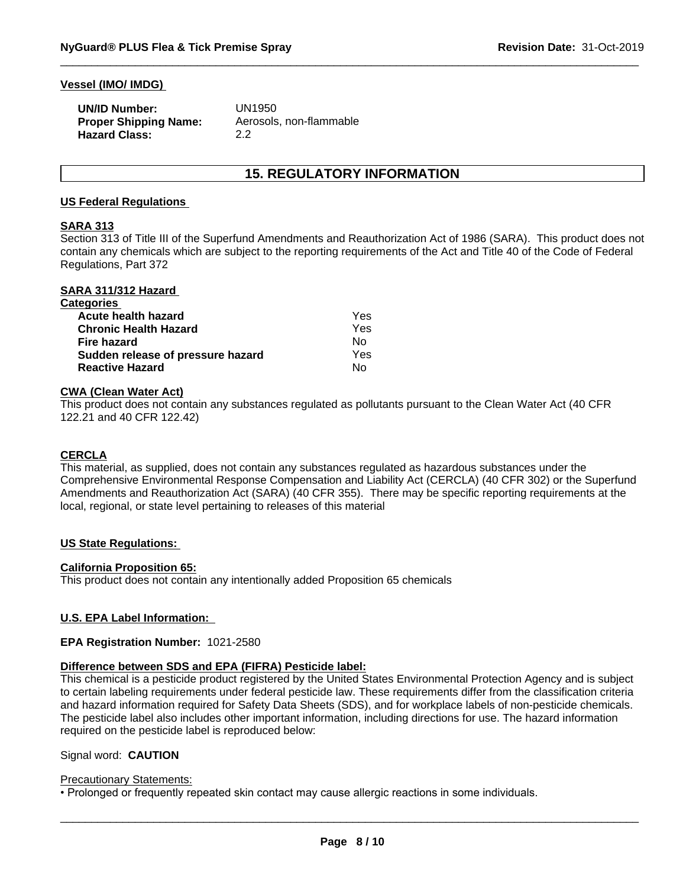#### **Vessel (IMO/ IMDG)**

| <b>UN/ID Number:</b>         | UN1950                  |
|------------------------------|-------------------------|
| <b>Proper Shipping Name:</b> | Aerosols, non-flammable |
| <b>Hazard Class:</b>         | 2.2                     |

# **15. REGULATORY INFORMATION**

#### **US Federal Regulations**

### **SARA 313**

Section 313 of Title III of the Superfund Amendments and Reauthorization Act of 1986 (SARA). This product does not contain any chemicals which are subject to the reporting requirements of the Act and Title 40 of the Code of Federal Regulations, Part 372

| SARA 311/312 Hazard               |     |  |
|-----------------------------------|-----|--|
| <b>Categories</b>                 |     |  |
| Acute health hazard               | Yes |  |
| <b>Chronic Health Hazard</b>      | Yes |  |
| Fire hazard                       | Nο  |  |
| Sudden release of pressure hazard | Yes |  |
| <b>Reactive Hazard</b>            | No  |  |

#### **CWA (Clean Water Act)**

This product does not contain any substances regulated as pollutants pursuant to the Clean Water Act (40 CFR 122.21 and 40 CFR 122.42)

### **CERCLA**

This material, as supplied, does not contain any substances regulated as hazardous substances under the Comprehensive Environmental Response Compensation and Liability Act (CERCLA) (40 CFR 302) or the Superfund Amendments and Reauthorization Act (SARA) (40 CFR 355). There may be specific reporting requirements at the local, regional, or state level pertaining to releases of this material

#### **US State Regulations:**

#### **California Proposition 65:**

This product does not contain any intentionally added Proposition 65 chemicals

#### **U.S. EPA Label Information:**

#### **EPA Registration Number:** 1021-2580

#### **Difference between SDS and EPA (FIFRA) Pesticide label:**

This chemical is a pesticide product registered by the United States Environmental Protection Agency and is subject to certain labeling requirements under federal pesticide law. These requirements differ from the classification criteria and hazard information required for Safety Data Sheets (SDS), and for workplace labels of non-pesticide chemicals. The pesticide label also includes other important information, including directions for use. The hazard information required on the pesticide label is reproduced below:

#### Signal word: **CAUTION**

#### Precautionary Statements:

• Prolonged or frequently repeated skin contact may cause allergic reactions in some individuals.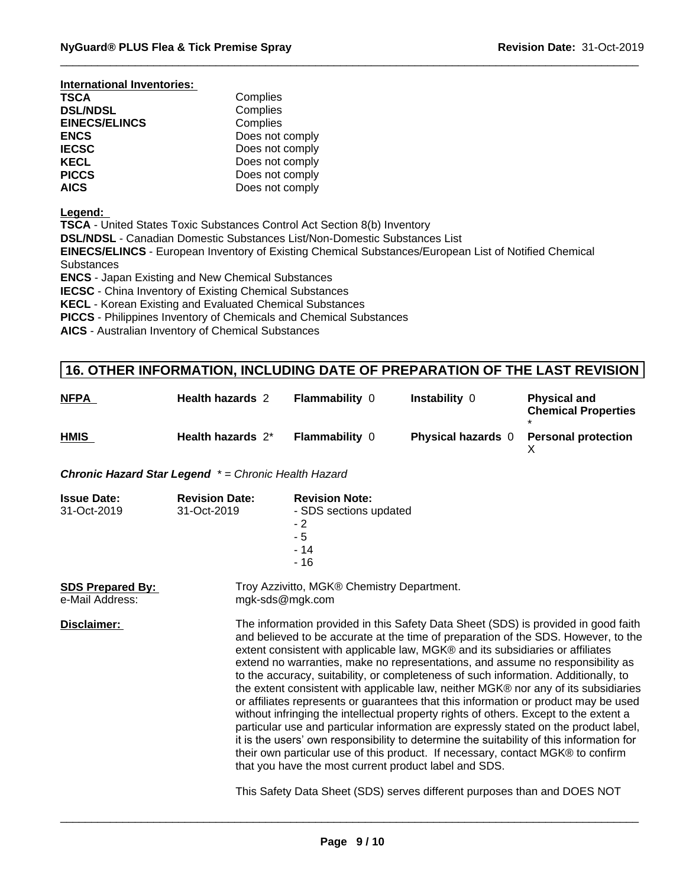| International Inventories: |                 |
|----------------------------|-----------------|
| <b>TSCA</b>                | Complies        |
| <b>DSL/NDSL</b>            | Complies        |
| <b>EINECS/ELINCS</b>       | Complies        |
| <b>ENCS</b>                | Does not comply |
| <b>IECSC</b>               | Does not comply |
| <b>KECL</b>                | Does not comply |
| <b>PICCS</b>               | Does not comply |
| <b>AICS</b>                | Does not comply |

**Legend:** 

**TSCA** - United States Toxic Substances Control Act Section 8(b) Inventory

**DSL/NDSL** - Canadian Domestic Substances List/Non-Domestic Substances List

**EINECS/ELINCS** - European Inventory of Existing Chemical Substances/European List of Notified Chemical **Substances** 

**ENCS** - Japan Existing and New Chemical Substances

**IECSC** - China Inventory of Existing Chemical Substances

**KECL** - Korean Existing and Evaluated Chemical Substances

**PICCS** - Philippines Inventory of Chemicals and Chemical Substances

**AICS** - Australian Inventory of Chemical Substances

# **16. OTHER INFORMATION, INCLUDING DATE OF PREPARATION OF THE LAST REVISION**

| <b>NFPA</b> | <b>Health hazards 2</b> | <b>Flammability 0</b> | <b>Instability 0</b>      | <b>Physical and</b><br><b>Chemical Properties</b> |
|-------------|-------------------------|-----------------------|---------------------------|---------------------------------------------------|
| <b>HMIS</b> | Health hazards 2*       | <b>Flammability 0</b> | <b>Physical hazards</b> 0 | <b>Personal protection</b>                        |

*Chronic Hazard Star Legend \* = Chronic Health Hazard*

| <b>Issue Date:</b><br>31-Oct-2019          | <b>Revision Date:</b><br>31-Oct-2019 | <b>Revision Note:</b><br>- SDS sections updated<br>- 2<br>- 5<br>- 14<br>- 16                                                                                                                                                                                                                                                                                                                                                                                                                                                                                                                                                                                                                                                                                                                                                                                                                                                                                                                                                              |  |
|--------------------------------------------|--------------------------------------|--------------------------------------------------------------------------------------------------------------------------------------------------------------------------------------------------------------------------------------------------------------------------------------------------------------------------------------------------------------------------------------------------------------------------------------------------------------------------------------------------------------------------------------------------------------------------------------------------------------------------------------------------------------------------------------------------------------------------------------------------------------------------------------------------------------------------------------------------------------------------------------------------------------------------------------------------------------------------------------------------------------------------------------------|--|
| <b>SDS Prepared By:</b><br>e-Mail Address: |                                      | Troy Azzivitto, MGK® Chemistry Department.<br>mgk-sds@mgk.com                                                                                                                                                                                                                                                                                                                                                                                                                                                                                                                                                                                                                                                                                                                                                                                                                                                                                                                                                                              |  |
| Disclaimer:                                |                                      | The information provided in this Safety Data Sheet (SDS) is provided in good faith<br>and believed to be accurate at the time of preparation of the SDS. However, to the<br>extent consistent with applicable law, MGK® and its subsidiaries or affiliates<br>extend no warranties, make no representations, and assume no responsibility as<br>to the accuracy, suitability, or completeness of such information. Additionally, to<br>the extent consistent with applicable law, neither MGK® nor any of its subsidiaries<br>or affiliates represents or guarantees that this information or product may be used<br>without infringing the intellectual property rights of others. Except to the extent a<br>particular use and particular information are expressly stated on the product label,<br>it is the users' own responsibility to determine the suitability of this information for<br>their own particular use of this product. If necessary, contact MGK® to confirm<br>that you have the most current product label and SDS. |  |
|                                            |                                      | This Safety Data Sheet (SDS) serves different purposes than and DOES NOT                                                                                                                                                                                                                                                                                                                                                                                                                                                                                                                                                                                                                                                                                                                                                                                                                                                                                                                                                                   |  |